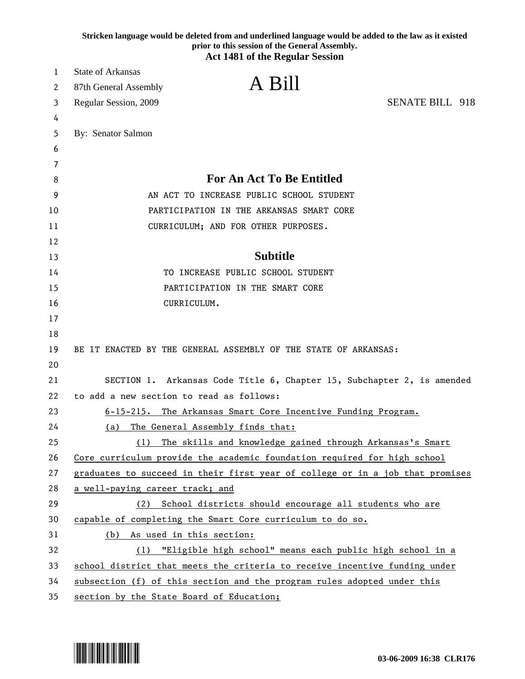|        | Stricken language would be deleted from and underlined language would be added to the law as it existed<br>prior to this session of the General Assembly. |
|--------|-----------------------------------------------------------------------------------------------------------------------------------------------------------|
|        | <b>Act 1481 of the Regular Session</b>                                                                                                                    |
| 1      | <b>State of Arkansas</b>                                                                                                                                  |
| 2      | A Bill<br>87th General Assembly                                                                                                                           |
| 3      | <b>SENATE BILL 918</b><br>Regular Session, 2009                                                                                                           |
| 4      |                                                                                                                                                           |
| 5      | By: Senator Salmon                                                                                                                                        |
| 6      |                                                                                                                                                           |
| 7<br>8 | <b>For An Act To Be Entitled</b>                                                                                                                          |
| 9      | AN ACT TO INCREASE PUBLIC SCHOOL STUDENT                                                                                                                  |
| 10     | PARTICIPATION IN THE ARKANSAS SMART CORE                                                                                                                  |
| 11     | CURRICULUM; AND FOR OTHER PURPOSES.                                                                                                                       |
| 12     |                                                                                                                                                           |
| 13     | <b>Subtitle</b>                                                                                                                                           |
| 14     | TO INCREASE PUBLIC SCHOOL STUDENT                                                                                                                         |
| 15     | PARTICIPATION IN THE SMART CORE                                                                                                                           |
| 16     | CURRICULUM.                                                                                                                                               |
| 17     |                                                                                                                                                           |
| 18     |                                                                                                                                                           |
| 19     | BE IT ENACTED BY THE GENERAL ASSEMBLY OF THE STATE OF ARKANSAS:                                                                                           |
| 20     |                                                                                                                                                           |
| 21     | SECTION 1. Arkansas Code Title 6, Chapter 15, Subchapter 2, is amended                                                                                    |
| 22     | to add a new section to read as follows:                                                                                                                  |
| 23     | 6-15-215. The Arkansas Smart Core Incentive Funding Program.                                                                                              |
| 24     | The General Assembly finds that:<br>(a)                                                                                                                   |
| 25     | The skills and knowledge gained through Arkansas's Smart<br>(1)                                                                                           |
| 26     | Core curriculum provide the academic foundation required for high school                                                                                  |
| 27     | graduates to succeed in their first year of college or in a job that promises                                                                             |
| 28     | a well-paying career track; and                                                                                                                           |
| 29     | School districts should encourage all students who are<br>(2)                                                                                             |
| 30     | capable of completing the Smart Core curriculum to do so.                                                                                                 |
| 31     | As used in this section:<br>(b)                                                                                                                           |
| 32     | "Eligible high school" means each public high school in a<br>(1)                                                                                          |
| 33     | school district that meets the criteria to receive incentive funding under                                                                                |
| 34     | subsection (f) of this section and the program rules adopted under this                                                                                   |
| 35     | section by the State Board of Education;                                                                                                                  |

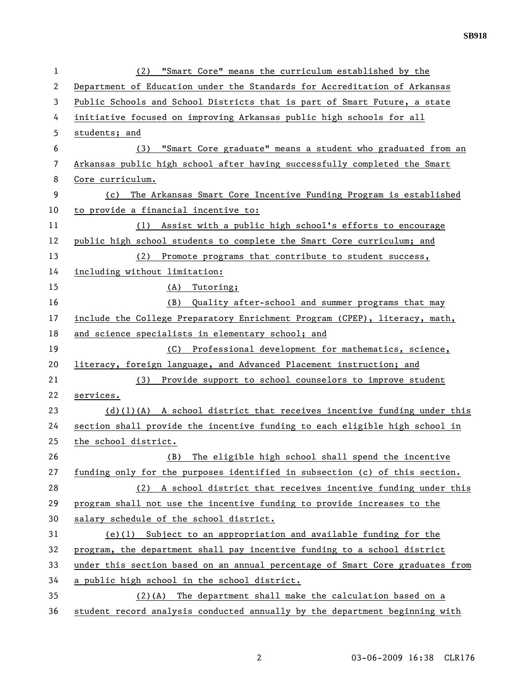| $\mathbf{1}$   | (2) "Smart Core" means the curriculum established by the                      |
|----------------|-------------------------------------------------------------------------------|
| $\overline{2}$ | Department of Education under the Standards for Accreditation of Arkansas     |
| 3              | Public Schools and School Districts that is part of Smart Future, a state     |
| 4              | initiative focused on improving Arkansas public high schools for all          |
| 5              | students; and                                                                 |
| 6              | "Smart Core graduate" means a student who graduated from an<br>(3)            |
| 7              | Arkansas public high school after having successfully completed the Smart     |
| 8              | Core curriculum.                                                              |
| 9              | The Arkansas Smart Core Incentive Funding Program is established<br>(c)       |
| 10             | to provide a financial incentive to:                                          |
| 11             | Assist with a public high school's efforts to encourage<br>(1)                |
| 12             | public high school students to complete the Smart Core curriculum; and        |
| 13             | Promote programs that contribute to student success,<br>(2)                   |
| 14             | including without limitation:                                                 |
| 15             | (A) Tutoring;                                                                 |
| 16             | Quality after-school and summer programs that may<br>(B)                      |
| 17             | include the College Preparatory Enrichment Program (CPEP), literacy, math,    |
| 18             | and science specialists in elementary school; and                             |
| 19             | Professional development for mathematics, science,<br>(C)                     |
| 20             | literacy, foreign language, and Advanced Placement instruction; and           |
| 21             | (3)<br>Provide support to school counselors to improve student                |
| 22             | services.                                                                     |
| 23             | $(d)(1)(A)$ A school district that receives incentive funding under this      |
| 24             | section shall provide the incentive funding to each eligible high school in   |
| 25             | the school district.                                                          |
| 26             | The eligible high school shall spend the incentive<br>(B)                     |
| 27             | funding only for the purposes identified in subsection (c) of this section.   |
| 28             | (2) A school district that receives incentive funding under this              |
| 29             | program shall not use the incentive funding to provide increases to the       |
| 30             | salary schedule of the school district.                                       |
| 31             | $(e)(1)$ Subject to an appropriation and available funding for the            |
| 32             | program, the department shall pay incentive funding to a school district      |
| 33             | under this section based on an annual percentage of Smart Core graduates from |
| 34             | a public high school in the school district.                                  |
| 35             | $(2)(A)$ The department shall make the calculation based on a                 |
| 36             | student record analysis conducted annually by the department beginning with   |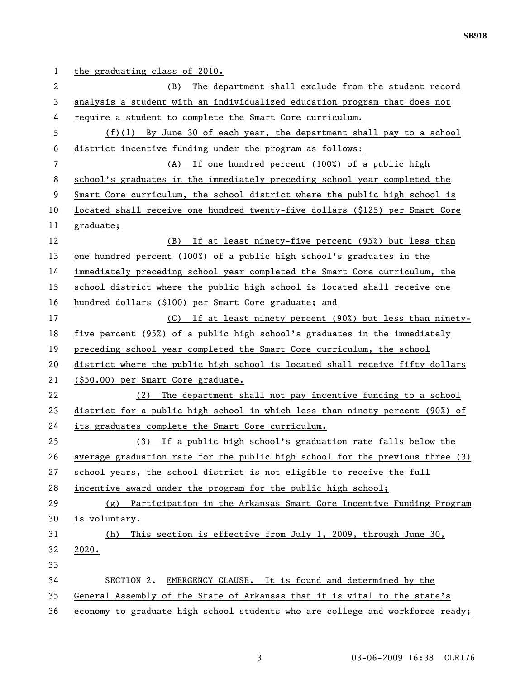1 the graduating class of 2010. 2 (B) The department shall exclude from the student record 3 analysis a student with an individualized education program that does not 4 require a student to complete the Smart Core curriculum. 5 (f)(1) By June 30 of each year, the department shall pay to a school 6 district incentive funding under the program as follows: 7 (A) If one hundred percent (100%) of a public high 8 school's graduates in the immediately preceding school year completed the 9 Smart Core curriculum, the school district where the public high school is 10 located shall receive one hundred twenty-five dollars (\$125) per Smart Core 11 graduate; 12 (B) If at least ninety-five percent (95%) but less than 13 one hundred percent (100%) of a public high school's graduates in the 14 immediately preceding school year completed the Smart Core curriculum, the 15 school district where the public high school is located shall receive one 16 hundred dollars (\$100) per Smart Core graduate; and 17 (C) If at least ninety percent (90%) but less than ninety-18 five percent (95%) of a public high school's graduates in the immediately 19 preceding school year completed the Smart Core curriculum, the school 20 district where the public high school is located shall receive fifty dollars 21 (\$50.00) per Smart Core graduate. 22 (2) The department shall not pay incentive funding to a school 23 district for a public high school in which less than ninety percent (90%) of 24 its graduates complete the Smart Core curriculum. 25 (3) If a public high school's graduation rate falls below the 26 average graduation rate for the public high school for the previous three (3) 27 school years, the school district is not eligible to receive the full 28 incentive award under the program for the public high school; 29 (g) Participation in the Arkansas Smart Core Incentive Funding Program 30 is voluntary. 31 (h) This section is effective from July 1, 2009, through June 30, 32 2020. 33 34 SECTION 2. EMERGENCY CLAUSE. It is found and determined by the 35 General Assembly of the State of Arkansas that it is vital to the state's 36 economy to graduate high school students who are college and workforce ready;